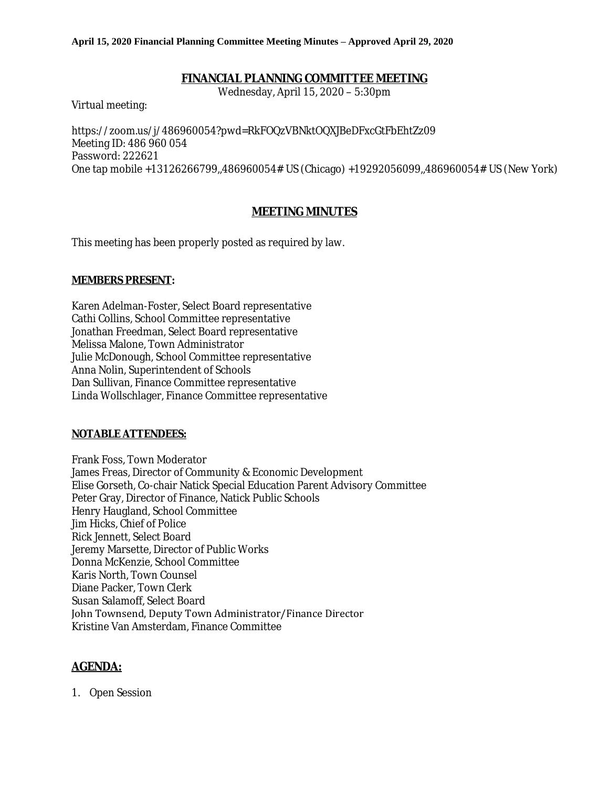### **FINANCIAL PLANNING COMMITTEE MEETING**

Wednesday, April 15, 2020 – 5:30pm

Virtual meeting:

[https://zoom.us/j/486960054?pwd=RkFOQzVBNktOQXJBeDFxcGtFbEhtZz09](https://www.google.com/url?q=https%3A%2F%2Fzoom.us%2Fj%2F486960054%3Fpwd%3DRkFOQzVBNktOQXJBeDFxcGtFbEhtZz09&sa=D&ust=1586107942661000&usg=AFQjCNEtMp2Xi6AozadY8dbiJQnKodrP-A) Meeting ID: 486 960 054 Password: 222621 One tap mobile +13126266799,,486960054# US (Chicago) +19292056099,,486960054# US (New York)

## **MEETING MINUTES**

This meeting has been properly posted as required by law.

#### **MEMBERS PRESENT:**

Karen Adelman-Foster, Select Board representative Cathi Collins, School Committee representative Jonathan Freedman, Select Board representative Melissa Malone, Town Administrator Julie McDonough, School Committee representative Anna Nolin, Superintendent of Schools Dan Sullivan, Finance Committee representative Linda Wollschlager, Finance Committee representative

#### **NOTABLE ATTENDEES:**

Frank Foss, Town Moderator James Freas, Director of Community & Economic Development Elise Gorseth, Co-chair Natick Special Education Parent Advisory Committee Peter Gray, Director of Finance, Natick Public Schools Henry Haugland, School Committee Jim Hicks, Chief of Police Rick Jennett, Select Board Jeremy Marsette, Director of Public Works Donna McKenzie, School Committee Karis North, Town Counsel Diane Packer, Town Clerk Susan Salamoff, Select Board John Townsend, Deputy Town Administrator/Finance Director Kristine Van Amsterdam, Finance Committee

# **AGENDA:**

1. Open Session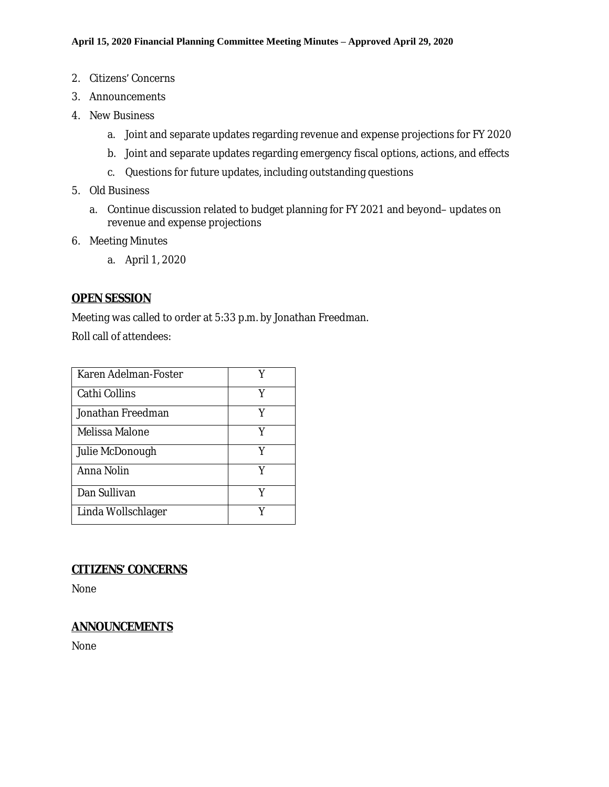- 2. Citizens' Concerns
- 3. Announcements
- 4. New Business
	- a. Joint and separate updates regarding revenue and expense projections for FY 2020
	- b. Joint and separate updates regarding emergency fiscal options, actions, and effects
	- c. Questions for future updates, including outstanding questions
- 5. Old Business
	- a. Continue discussion related to budget planning for FY 2021 and beyond– updates on revenue and expense projections
- 6. Meeting Minutes
	- a. April 1, 2020

### **OPEN SESSION**

Meeting was called to order at 5:33 p.m. by Jonathan Freedman.

Roll call of attendees:

| Karen Adelman-Foster |   |
|----------------------|---|
| Cathi Collins        | v |
| Jonathan Freedman    |   |
| Melissa Malone       |   |
| Julie McDonough      | v |
| Anna Nolin           |   |
| Dan Sullivan         |   |
| Linda Wollschlager   |   |

#### **CITIZENS' CONCERNS**

None

#### **ANNOUNCEMENTS**

None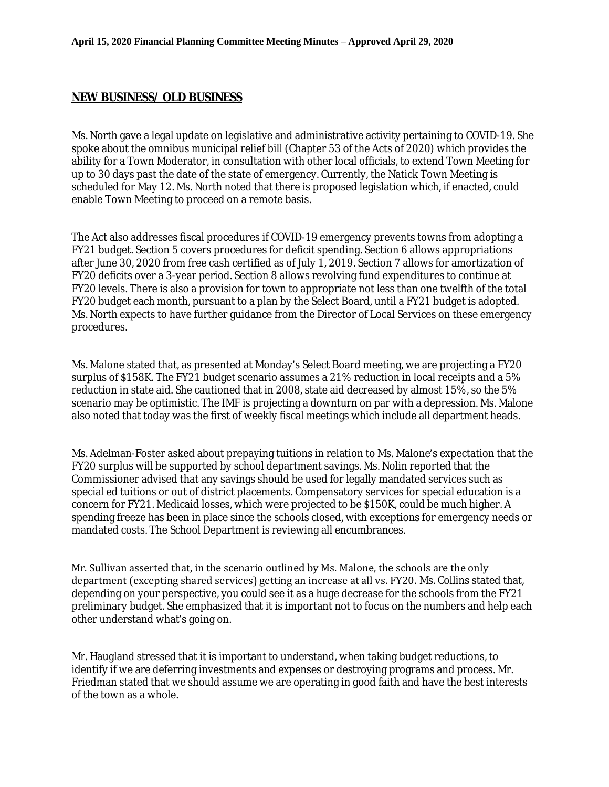#### **NEW BUSINESS/ OLD BUSINESS**

Ms. North gave a legal update on legislative and administrative activity pertaining to COVID-19. She spoke about the omnibus municipal relief bill (Chapter 53 of the Acts of 2020) which provides the ability for a Town Moderator, in consultation with other local officials, to extend Town Meeting for up to 30 days past the date of the state of emergency. Currently, the Natick Town Meeting is scheduled for May 12. Ms. North noted that there is proposed legislation which, if enacted, could enable Town Meeting to proceed on a remote basis.

The Act also addresses fiscal procedures if COVID-19 emergency prevents towns from adopting a FY21 budget. Section 5 covers procedures for deficit spending. Section 6 allows appropriations after June 30, 2020 from free cash certified as of July 1, 2019. Section 7 allows for amortization of FY20 deficits over a 3-year period. Section 8 allows revolving fund expenditures to continue at FY20 levels. There is also a provision for town to appropriate not less than one twelfth of the total FY20 budget each month, pursuant to a plan by the Select Board, until a FY21 budget is adopted. Ms. North expects to have further guidance from the Director of Local Services on these emergency procedures.

Ms. Malone stated that, as presented at Monday's Select Board meeting, we are projecting a FY20 surplus of \$158K. The FY21 budget scenario assumes a 21% reduction in local receipts and a 5% reduction in state aid. She cautioned that in 2008, state aid decreased by almost 15%, so the 5% scenario may be optimistic. The IMF is projecting a downturn on par with a depression. Ms. Malone also noted that today was the first of weekly fiscal meetings which include all department heads.

Ms. Adelman-Foster asked about prepaying tuitions in relation to Ms. Malone's expectation that the FY20 surplus will be supported by school department savings. Ms. Nolin reported that the Commissioner advised that any savings should be used for legally mandated services such as special ed tuitions or out of district placements. Compensatory services for special education is a concern for FY21. Medicaid losses, which were projected to be \$150K, could be much higher. A spending freeze has been in place since the schools closed, with exceptions for emergency needs or mandated costs. The School Department is reviewing all encumbrances.

Mr. Sullivan asserted that, in the scenario outlined by Ms. Malone, the schools are the only department (excepting shared services) getting an increase at all vs. FY20. Ms. Collins stated that, depending on your perspective, you could see it as a huge decrease for the schools from the FY21 preliminary budget. She emphasized that it is important not to focus on the numbers and help each other understand what's going on.

Mr. Haugland stressed that it is important to understand, when taking budget reductions, to identify if we are deferring investments and expenses or destroying programs and process. Mr. Friedman stated that we should assume we are operating in good faith and have the best interests of the town as a whole.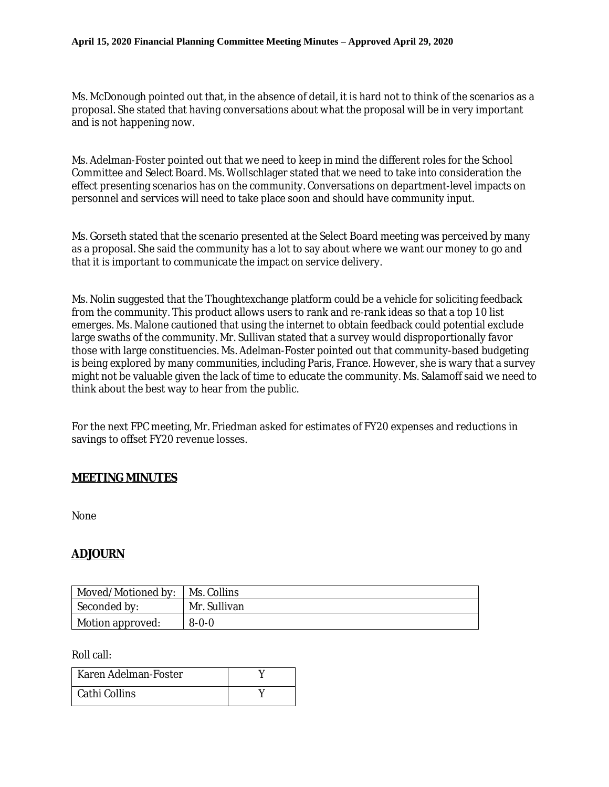Ms. McDonough pointed out that, in the absence of detail, it is hard not to think of the scenarios as a proposal. She stated that having conversations about what the proposal will be in very important and is not happening now.

Ms. Adelman-Foster pointed out that we need to keep in mind the different roles for the School Committee and Select Board. Ms. Wollschlager stated that we need to take into consideration the effect presenting scenarios has on the community. Conversations on department-level impacts on personnel and services will need to take place soon and should have community input.

Ms. Gorseth stated that the scenario presented at the Select Board meeting was perceived by many as a proposal. She said the community has a lot to say about where we want our money to go and that it is important to communicate the impact on service delivery.

Ms. Nolin suggested that the Thoughtexchange platform could be a vehicle for soliciting feedback from the community. This product allows users to rank and re-rank ideas so that a top 10 list emerges. Ms. Malone cautioned that using the internet to obtain feedback could potential exclude large swaths of the community. Mr. Sullivan stated that a survey would disproportionally favor those with large constituencies. Ms. Adelman-Foster pointed out that community-based budgeting is being explored by many communities, including Paris, France. However, she is wary that a survey might not be valuable given the lack of time to educate the community. Ms. Salamoff said we need to think about the best way to hear from the public.

For the next FPC meeting, Mr. Friedman asked for estimates of FY20 expenses and reductions in savings to offset FY20 revenue losses.

### **MEETING MINUTES**

None

# **ADJOURN**

| Moved/Motioned by:       | Ms. Collins  |
|--------------------------|--------------|
| Seconded by:             | Mr. Sullivan |
| $\perp$ Motion approved: | $8 - 0 - 0$  |

Roll call:

| Karen Adelman-Foster |  |
|----------------------|--|
| Cathi Collins        |  |